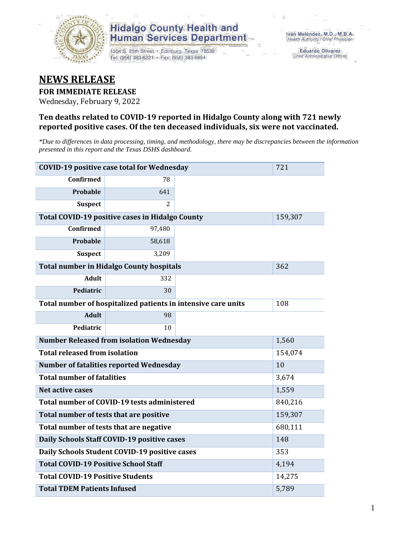

1304 S. 25th Street · Edinburg, Texas 78539 Tel: (956) 383-6221 · Fax: (956) 383-8864

**Eduardo Olivarez** Chief Administrative Officer

#### **NEWS RELEASE**

#### **FOR IMMEDIATE RELEASE**

Wednesday, February 9, 2022

#### **Ten deaths related to COVID-19 reported in Hidalgo County along with 721 newly reported positive cases. Of the ten deceased individuals, six were not vaccinated.**

*\*Due to differences in data processing, timing, and methodology, there may be discrepancies between the information presented in this report and the Texas DSHS dashboard.*

| <b>COVID-19 positive case total for Wednesday</b> | 721                                                           |     |         |  |
|---------------------------------------------------|---------------------------------------------------------------|-----|---------|--|
| <b>Confirmed</b>                                  | 78                                                            |     |         |  |
| Probable                                          | 641                                                           |     |         |  |
| <b>Suspect</b>                                    | $\overline{2}$                                                |     |         |  |
|                                                   | Total COVID-19 positive cases in Hidalgo County               |     | 159,307 |  |
| Confirmed                                         | 97,480                                                        |     |         |  |
| <b>Probable</b>                                   | 58,618                                                        |     |         |  |
| <b>Suspect</b>                                    | 3,209                                                         |     |         |  |
|                                                   | <b>Total number in Hidalgo County hospitals</b>               |     | 362     |  |
| <b>Adult</b>                                      | 332                                                           |     |         |  |
| Pediatric                                         | 30                                                            |     |         |  |
|                                                   | Total number of hospitalized patients in intensive care units | 108 |         |  |
| <b>Adult</b>                                      | 98                                                            |     |         |  |
| Pediatric                                         | 10                                                            |     |         |  |
|                                                   | <b>Number Released from isolation Wednesday</b>               |     | 1,560   |  |
| <b>Total released from isolation</b>              |                                                               |     | 154,074 |  |
|                                                   | <b>Number of fatalities reported Wednesday</b>                |     | 10      |  |
| <b>Total number of fatalities</b>                 |                                                               |     | 3,674   |  |
| Net active cases                                  |                                                               |     | 1,559   |  |
|                                                   | Total number of COVID-19 tests administered                   |     | 840,216 |  |
| Total number of tests that are positive           |                                                               |     | 159,307 |  |
| Total number of tests that are negative           |                                                               |     | 680,111 |  |
|                                                   | Daily Schools Staff COVID-19 positive cases                   |     | 148     |  |
|                                                   | Daily Schools Student COVID-19 positive cases                 |     | 353     |  |
| <b>Total COVID-19 Positive School Staff</b>       |                                                               |     | 4,194   |  |
| <b>Total COVID-19 Positive Students</b><br>14,275 |                                                               |     |         |  |
| <b>Total TDEM Patients Infused</b>                | 5,789                                                         |     |         |  |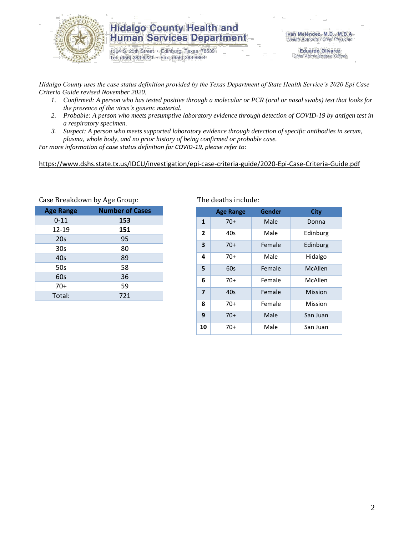

1304 S. 25th Street · Edinburg, Texas 78539 Tel: (956) 383-6221 · Fax: (956) 383-8864

**Eduardo Olivarez** Chief Administrative Officer

*Hidalgo County uses the case status definition provided by the Texas Department of State Health Service's 2020 Epi Case Criteria Guide revised November 2020.*

- *1. Confirmed: A person who has tested positive through a molecular or PCR (oral or nasal swabs) test that looks for the presence of the virus's genetic material.*
- *2. Probable: A person who meets presumptive laboratory evidence through detection of COVID-19 by antigen test in a respiratory specimen.*
- *3. Suspect: A person who meets supported laboratory evidence through detection of specific antibodies in serum, plasma, whole body, and no prior history of being confirmed or probable case.*

*For more information of case status definition for COVID-19, please refer to:*

<https://www.dshs.state.tx.us/IDCU/investigation/epi-case-criteria-guide/2020-Epi-Case-Criteria-Guide.pdf>

| $\frac{1}{2}$    |                        |  |  |  |  |  |  |
|------------------|------------------------|--|--|--|--|--|--|
| <b>Age Range</b> | <b>Number of Cases</b> |  |  |  |  |  |  |
| $0 - 11$         | 153                    |  |  |  |  |  |  |
| 12-19            | 151                    |  |  |  |  |  |  |
| 20s              | 95                     |  |  |  |  |  |  |
| 30s              | 80                     |  |  |  |  |  |  |
| 40s              | 89                     |  |  |  |  |  |  |
| 50s              | 58                     |  |  |  |  |  |  |
| 60s              | 36                     |  |  |  |  |  |  |
| $70+$            | 59                     |  |  |  |  |  |  |
| Total:           | 721                    |  |  |  |  |  |  |

Case Breakdown by Age Group: The deaths include:

|                | <b>Age Range</b> | Gender | City     |
|----------------|------------------|--------|----------|
| 1              | $70+$            | Male   | Donna    |
| $\overline{2}$ | 40s              | Male   | Edinburg |
| 3              | $70+$            | Female | Edinburg |
| 4              | $70+$            | Male   | Hidalgo  |
| 5              | 60s              | Female | McAllen  |
| 6              | $70+$            | Female | McAllen  |
| $\overline{7}$ | 40s              | Female | Mission  |
| 8              | $70+$            | Female | Mission  |
| 9              | $70+$            | Male   | San Juan |
| 10             | 70+              | Male   | San Juan |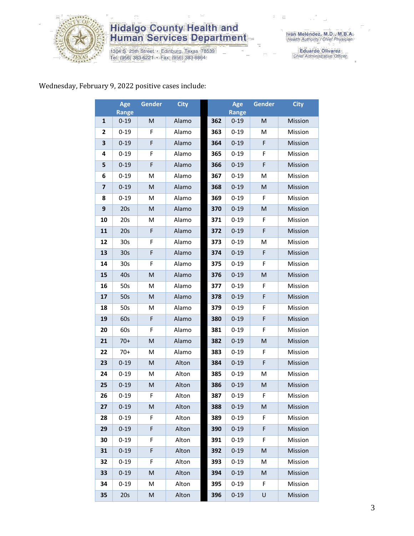

1304 S. 25th Street · Edinburg, Texas 78539<br>Tel: (956) 383-6221 · Fax: (956) 383-8864

Iván Meléndez, M.D., M.B.A.<br>Health Authority / Chief Physician

Eduardo Olivarez<br>Chief Administrative Officer

#### Wednesday, February 9, 2022 positive cases include:

|                | Age<br>Range    | <b>Gender</b> | <b>City</b> |     | Age<br><b>Range</b> | <b>Gender</b> | <b>City</b> |
|----------------|-----------------|---------------|-------------|-----|---------------------|---------------|-------------|
| 1              | $0 - 19$        | M             | Alamo       | 362 | $0 - 19$            | M             | Mission     |
| 2              | $0 - 19$        | F             | Alamo       | 363 | $0 - 19$            | M             | Mission     |
| 3              | $0 - 19$        | F             | Alamo       | 364 | $0 - 19$            | F             | Mission     |
| 4              | $0 - 19$        | F             | Alamo       | 365 | $0 - 19$            | F             | Mission     |
| 5              | $0 - 19$        | F             | Alamo       | 366 | $0 - 19$            | F             | Mission     |
| 6              | $0 - 19$        | M             | Alamo       | 367 | $0 - 19$            | м             | Mission     |
| $\overline{7}$ | $0 - 19$        | M             | Alamo       | 368 | $0 - 19$            | M             | Mission     |
| 8              | $0 - 19$        | M             | Alamo       | 369 | $0 - 19$            | F             | Mission     |
| 9              | 20s             | M             | Alamo       | 370 | $0 - 19$            | M             | Mission     |
| 10             | 20s             | M             | Alamo       | 371 | $0 - 19$            | F             | Mission     |
| 11             | 20s             | F             | Alamo       | 372 | $0 - 19$            | F             | Mission     |
| 12             | 30s             | F             | Alamo       | 373 | $0 - 19$            | M             | Mission     |
| 13             | 30 <sub>s</sub> | F             | Alamo       | 374 | $0 - 19$            | F             | Mission     |
| 14             | 30 <sub>s</sub> | F             | Alamo       | 375 | $0 - 19$            | F             | Mission     |
| 15             | 40s             | M             | Alamo       | 376 | $0 - 19$            | M             | Mission     |
| 16             | 50s             | M             | Alamo       | 377 | $0 - 19$            | F             | Mission     |
| 17             | 50s             | M             | Alamo       | 378 | $0 - 19$            | F             | Mission     |
| 18             | 50s             | M             | Alamo       | 379 | $0 - 19$            | F             | Mission     |
| 19             | 60s             | F             | Alamo       | 380 | $0 - 19$            | F             | Mission     |
| 20             | 60s             | F             | Alamo       | 381 | $0 - 19$            | F             | Mission     |
| 21             | $70+$           | M             | Alamo       | 382 | $0 - 19$            | M             | Mission     |
| 22             | $70+$           | M             | Alamo       | 383 | $0 - 19$            | F             | Mission     |
| 23             | $0 - 19$        | M             | Alton       | 384 | $0 - 19$            | F             | Mission     |
| 24             | $0 - 19$        | M             | Alton       | 385 | $0 - 19$            | M             | Mission     |
| 25             | $0 - 19$        | M             | Alton       | 386 | $0 - 19$            | M             | Mission     |
| 26             | $0 - 19$        | F             | Alton       | 387 | $0 - 19$            | F             | Mission     |
| 27             | $0 - 19$        | M             | Alton       | 388 | $0 - 19$            | M             | Mission     |
| 28             | $0 - 19$        | F             | Alton       | 389 | $0 - 19$            | F             | Mission     |
| 29             | $0 - 19$        | F             | Alton       | 390 | $0 - 19$            | F             | Mission     |
| 30             | $0 - 19$        | F             | Alton       | 391 | $0 - 19$            | F.            | Mission     |
| 31             | $0 - 19$        | F             | Alton       | 392 | $0 - 19$            | M             | Mission     |
| 32             | $0 - 19$        | F             | Alton       | 393 | $0 - 19$            | M             | Mission     |
| 33             | $0 - 19$        | M             | Alton       | 394 | $0 - 19$            | M             | Mission     |
| 34             | $0 - 19$        | M             | Alton       | 395 | $0 - 19$            | F.            | Mission     |
| 35             | 20s             | M             | Alton       | 396 | $0 - 19$            | U             | Mission     |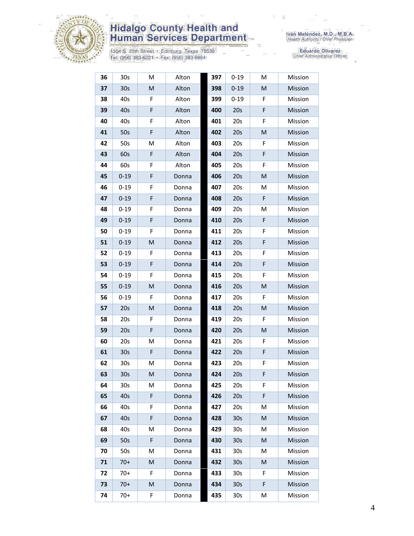

1304 S. 25th Street • Edinburg, Texas 78539<br>Tel: (956) 383-6221 • Fax: (956) 383-8864

| 36 | 30 <sub>s</sub> | M           | Alton | 397 | $0 - 19$        | M | Mission |
|----|-----------------|-------------|-------|-----|-----------------|---|---------|
| 37 | 30 <sub>s</sub> | M           | Alton | 398 | $0 - 19$        | M | Mission |
| 38 | 40s             | F           | Alton | 399 | $0 - 19$        | F | Mission |
| 39 | 40s             | F           | Alton | 400 | 20s             | F | Mission |
| 40 | 40s             | F           | Alton | 401 | 20s             | F | Mission |
| 41 | 50s             | F           | Alton | 402 | 20s             | M | Mission |
| 42 | 50s             | M           | Alton | 403 | 20s             | F | Mission |
| 43 | 60s             | $\mathsf F$ | Alton | 404 | 20s             | F | Mission |
| 44 | 60s             | F           | Alton | 405 | 20s             | F | Mission |
| 45 | $0 - 19$        | F           | Donna | 406 | 20s             | M | Mission |
| 46 | $0 - 19$        | F           | Donna | 407 | 20s             | М | Mission |
| 47 | $0 - 19$        | F           | Donna | 408 | 20s             | F | Mission |
| 48 | $0 - 19$        | F           | Donna | 409 | 20s             | M | Mission |
| 49 | $0 - 19$        | $\mathsf F$ | Donna | 410 | 20s             | F | Mission |
| 50 | $0 - 19$        | F           | Donna | 411 | 20s             | F | Mission |
| 51 | $0 - 19$        | M           | Donna | 412 | 20s             | F | Mission |
| 52 | $0 - 19$        | F           | Donna | 413 | 20s             | F | Mission |
| 53 | $0 - 19$        | F           | Donna | 414 | 20s             | F | Mission |
| 54 | $0 - 19$        | $\mathsf F$ | Donna | 415 | 20s             | F | Mission |
| 55 | $0 - 19$        | M           | Donna | 416 | 20s             | M | Mission |
| 56 | $0 - 19$        | F           | Donna | 417 | 20s             | F | Mission |
| 57 | 20s             | M           | Donna | 418 | 20s             | M | Mission |
| 58 | 20s             | F           | Donna | 419 | 20s             | F | Mission |
| 59 | 20s             | F           | Donna | 420 | 20s             | M | Mission |
| 60 | 20s             | M           | Donna | 421 | 20s             | F | Mission |
| 61 | 30 <sub>s</sub> | $\mathsf F$ | Donna | 422 | 20s             | F | Mission |
| 62 | 30 <sub>s</sub> | M           | Donna | 423 | 20s             | F | Mission |
| 63 | 30 <sub>s</sub> | M           | Donna | 424 | 20s             | F | Mission |
| 64 | 30 <sub>s</sub> | М           | Donna | 425 | 20s             | F | Mission |
| 65 | 40s             | F           | Donna | 426 | 20s             | F | Mission |
| 66 | 40s             | F           | Donna | 427 | 20s             | M | Mission |
| 67 | 40s             | F           | Donna | 428 | 30 <sub>s</sub> | M | Mission |
| 68 | 40s             | M           | Donna | 429 | 30 <sub>s</sub> | M | Mission |
| 69 | 50s             | F           | Donna | 430 | 30 <sub>s</sub> | M | Mission |
| 70 | 50s             | М           | Donna | 431 | 30s             | M | Mission |
| 71 | $70+$           | M           | Donna | 432 | 30 <sub>s</sub> | M | Mission |
| 72 | $70+$           | F           | Donna | 433 | 30 <sub>s</sub> | F | Mission |
| 73 | $70+$           | M           | Donna | 434 | 30 <sub>s</sub> | F | Mission |
| 74 | $70+$           | F           | Donna | 435 | 30 <sub>s</sub> | M | Mission |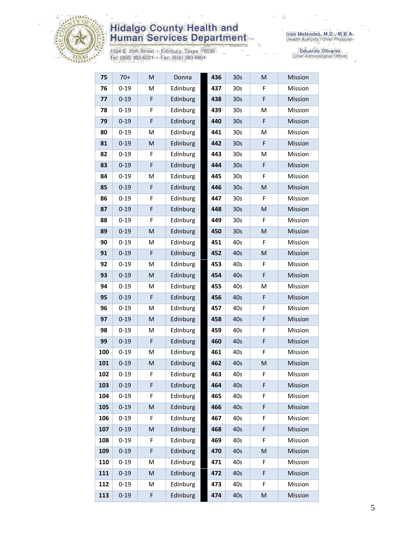

1304 S. 25th Street • Edinburg, Texas 78539<br>Tel: (956) 383-6221 • Fax: (956) 383-8864

Iván Meléndez, M.D., M.B.A.<br>Health Authority / Chief Physician

| 75  | $70+$    | M | Donna    | 436 | 30 <sub>s</sub> | M | Mission |
|-----|----------|---|----------|-----|-----------------|---|---------|
| 76  | $0 - 19$ | M | Edinburg | 437 | 30 <sub>s</sub> | F | Mission |
| 77  | $0 - 19$ | F | Edinburg | 438 | 30 <sub>s</sub> | F | Mission |
| 78  | $0 - 19$ | F | Edinburg | 439 | 30 <sub>s</sub> | M | Mission |
| 79  | $0 - 19$ | F | Edinburg | 440 | 30 <sub>s</sub> | F | Mission |
| 80  | $0 - 19$ | M | Edinburg | 441 | 30 <sub>s</sub> | M | Mission |
| 81  | $0 - 19$ | M | Edinburg | 442 | 30 <sub>s</sub> | F | Mission |
| 82  | $0 - 19$ | F | Edinburg | 443 | 30 <sub>s</sub> | M | Mission |
| 83  | $0 - 19$ | F | Edinburg | 444 | 30 <sub>s</sub> | F | Mission |
| 84  | $0 - 19$ | M | Edinburg | 445 | 30 <sub>s</sub> | F | Mission |
| 85  | $0 - 19$ | F | Edinburg | 446 | 30 <sub>s</sub> | M | Mission |
| 86  | $0 - 19$ | F | Edinburg | 447 | 30 <sub>s</sub> | F | Mission |
| 87  | $0 - 19$ | F | Edinburg | 448 | 30 <sub>s</sub> | M | Mission |
| 88  | $0 - 19$ | F | Edinburg | 449 | 30 <sub>s</sub> | F | Mission |
| 89  | $0 - 19$ | M | Edinburg | 450 | 30 <sub>s</sub> | M | Mission |
| 90  | $0 - 19$ | M | Edinburg | 451 | 40s             | F | Mission |
| 91  | $0 - 19$ | F | Edinburg | 452 | 40s             | M | Mission |
| 92  | $0 - 19$ | M | Edinburg | 453 | 40s             | F | Mission |
| 93  | $0 - 19$ | M | Edinburg | 454 | 40s             | F | Mission |
| 94  | $0 - 19$ | M | Edinburg | 455 | 40s             | M | Mission |
| 95  | $0 - 19$ | F | Edinburg | 456 | 40s             | F | Mission |
| 96  | $0 - 19$ | M | Edinburg | 457 | 40s             | F | Mission |
| 97  | $0 - 19$ | M | Edinburg | 458 | 40s             | F | Mission |
| 98  | $0 - 19$ | M | Edinburg | 459 | 40s             | F | Mission |
| 99  | $0 - 19$ | F | Edinburg | 460 | 40s             | F | Mission |
| 100 | $0 - 19$ | M | Edinburg | 461 | 40s             | F | Mission |
| 101 | $0 - 19$ | M | Edinburg | 462 | 40s             | M | Mission |
| 102 | $0 - 19$ | F | Edinburg | 463 | 40s             | F | Mission |
| 103 | $0 - 19$ | F | Edinburg | 464 | 40s             | F | Mission |
| 104 | $0 - 19$ | F | Edinburg | 465 | 40s             | F | Mission |
| 105 | $0 - 19$ | M | Edinburg | 466 | 40s             | F | Mission |
| 106 | $0 - 19$ | F | Edinburg | 467 | 40s             | F | Mission |
| 107 | $0 - 19$ | M | Edinburg | 468 | 40s             | F | Mission |
| 108 | $0 - 19$ | F | Edinburg | 469 | 40s             | F | Mission |
| 109 | $0 - 19$ | F | Edinburg | 470 | 40s             | M | Mission |
| 110 | $0 - 19$ | М | Edinburg | 471 | 40s             | F | Mission |
| 111 | $0 - 19$ | M | Edinburg | 472 | 40s             | F | Mission |
| 112 | $0 - 19$ | M | Edinburg | 473 | 40s             | F | Mission |
| 113 | $0 - 19$ | F | Edinburg | 474 | 40s             | M | Mission |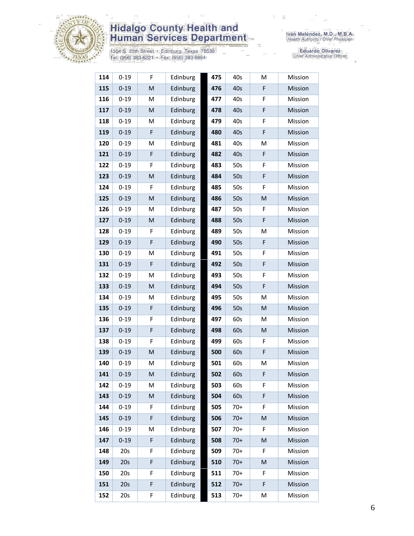

1304 S. 25th Street • Edinburg, Texas 78539<br>Tel: (956) 383-6221 • Fax: (956) 383-8864

| 114 | $0 - 19$ | F                                                                                                          | Edinburg | 475 | 40s   | M | Mission |
|-----|----------|------------------------------------------------------------------------------------------------------------|----------|-----|-------|---|---------|
| 115 | $0 - 19$ | $\mathsf{M}% _{T}=\mathsf{M}_{T}\!\left( a,b\right) ,\ \mathsf{M}_{T}=\mathsf{M}_{T}\!\left( a,b\right) ,$ | Edinburg | 476 | 40s   | F | Mission |
| 116 | $0 - 19$ | M                                                                                                          | Edinburg | 477 | 40s   | F | Mission |
| 117 | $0 - 19$ | $\mathsf{M}% _{T}=\mathsf{M}_{T}\!\left( a,b\right) ,\ \mathsf{M}_{T}=\mathsf{M}_{T}\!\left( a,b\right) ,$ | Edinburg | 478 | 40s   | F | Mission |
| 118 | $0 - 19$ | M                                                                                                          | Edinburg | 479 | 40s   | F | Mission |
| 119 | $0 - 19$ | $\mathsf F$                                                                                                | Edinburg | 480 | 40s   | F | Mission |
| 120 | $0 - 19$ | M                                                                                                          | Edinburg | 481 | 40s   | M | Mission |
| 121 | $0 - 19$ | $\mathsf F$                                                                                                | Edinburg | 482 | 40s   | F | Mission |
| 122 | $0 - 19$ | F                                                                                                          | Edinburg | 483 | 50s   | F | Mission |
| 123 | $0 - 19$ | $\mathsf{M}% _{T}=\mathsf{M}_{T}\!\left( a,b\right) ,\ \mathsf{M}_{T}=\mathsf{M}_{T}\!\left( a,b\right) ,$ | Edinburg | 484 | 50s   | F | Mission |
| 124 | $0 - 19$ | F                                                                                                          | Edinburg | 485 | 50s   | F | Mission |
| 125 | $0 - 19$ | M                                                                                                          | Edinburg | 486 | 50s   | M | Mission |
| 126 | $0 - 19$ | M                                                                                                          | Edinburg | 487 | 50s   | F | Mission |
| 127 | $0 - 19$ | M                                                                                                          | Edinburg | 488 | 50s   | F | Mission |
| 128 | $0 - 19$ | F                                                                                                          | Edinburg | 489 | 50s   | M | Mission |
| 129 | $0 - 19$ | F                                                                                                          | Edinburg | 490 | 50s   | F | Mission |
| 130 | $0 - 19$ | M                                                                                                          | Edinburg | 491 | 50s   | F | Mission |
| 131 | $0 - 19$ | F                                                                                                          | Edinburg | 492 | 50s   | F | Mission |
| 132 | $0 - 19$ | M                                                                                                          | Edinburg | 493 | 50s   | F | Mission |
| 133 | $0 - 19$ | M                                                                                                          | Edinburg | 494 | 50s   | F | Mission |
| 134 | $0 - 19$ | M                                                                                                          | Edinburg | 495 | 50s   | M | Mission |
| 135 | $0 - 19$ | $\mathsf F$                                                                                                | Edinburg | 496 | 50s   | M | Mission |
| 136 | $0 - 19$ | F                                                                                                          | Edinburg | 497 | 60s   | M | Mission |
| 137 | $0 - 19$ | F                                                                                                          | Edinburg | 498 | 60s   | M | Mission |
| 138 | $0 - 19$ | F                                                                                                          | Edinburg | 499 | 60s   | F | Mission |
| 139 | $0 - 19$ | M                                                                                                          | Edinburg | 500 | 60s   | F | Mission |
| 140 | $0 - 19$ | M                                                                                                          | Edinburg | 501 | 60s   | M | Mission |
| 141 | $0 - 19$ | M                                                                                                          | Edinburg | 502 | 60s   | F | Mission |
| 142 | $0 - 19$ | M                                                                                                          | Edinburg | 503 | 60s   | F | Mission |
| 143 | $0 - 19$ | M                                                                                                          | Edinburg | 504 | 60s   | F | Mission |
| 144 | $0 - 19$ | F                                                                                                          | Edinburg | 505 | $70+$ | F | Mission |
| 145 | $0 - 19$ | F                                                                                                          | Edinburg | 506 | $70+$ | M | Mission |
| 146 | $0 - 19$ | M                                                                                                          | Edinburg | 507 | $70+$ | F | Mission |
| 147 | $0 - 19$ | F                                                                                                          | Edinburg | 508 | $70+$ | M | Mission |
| 148 | 20s      | F                                                                                                          | Edinburg | 509 | $70+$ | F | Mission |
| 149 | 20s      | F                                                                                                          | Edinburg | 510 | $70+$ | M | Mission |
| 150 | 20s      | F                                                                                                          | Edinburg | 511 | $70+$ | F | Mission |
| 151 | 20s      | F                                                                                                          | Edinburg | 512 | $70+$ | F | Mission |
| 152 | 20s      | F                                                                                                          | Edinburg | 513 | $70+$ | M | Mission |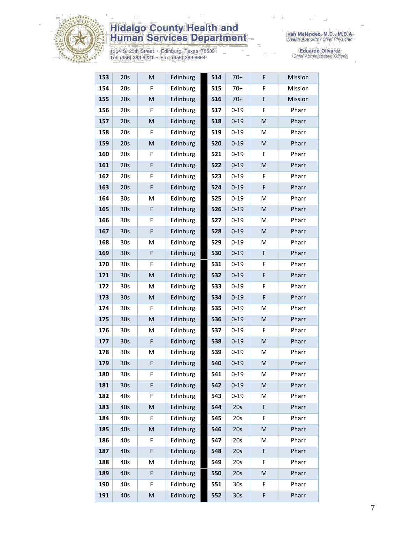

1304 S. 25th Street • Edinburg, Texas 78539<br>Tel: (956) 383-6221 • Fax: (956) 383-8864

Iván Meléndez, M.D., M.B.A.<br>Health Authority / Chief Physician

| 153 | 20s             | M         | Edinburg | 514 | $70+$           | F           | Mission |
|-----|-----------------|-----------|----------|-----|-----------------|-------------|---------|
| 154 | 20s             | F         | Edinburg | 515 | $70+$           | F           | Mission |
| 155 | 20s             | M         | Edinburg | 516 | $70+$           | F           | Mission |
| 156 | 20s             | F         | Edinburg | 517 | $0 - 19$        | F           | Pharr   |
| 157 | 20s             | M         | Edinburg | 518 | $0 - 19$        | M           | Pharr   |
| 158 | 20s             | F         | Edinburg | 519 | $0 - 19$        | M           | Pharr   |
| 159 | 20s             | M         | Edinburg | 520 | $0 - 19$        | M           | Pharr   |
| 160 | 20s             | F         | Edinburg | 521 | $0 - 19$        | F           | Pharr   |
| 161 | 20s             | F         | Edinburg | 522 | $0 - 19$        | M           | Pharr   |
| 162 | 20s             | F         | Edinburg | 523 | $0 - 19$        | F           | Pharr   |
| 163 | 20s             | F         | Edinburg | 524 | $0 - 19$        | F           | Pharr   |
| 164 | 30 <sub>s</sub> | M         | Edinburg | 525 | $0 - 19$        | M           | Pharr   |
| 165 | 30s             | F         | Edinburg | 526 | $0 - 19$        | M           | Pharr   |
| 166 | 30 <sub>s</sub> | F         | Edinburg | 527 | $0 - 19$        | M           | Pharr   |
| 167 | 30 <sub>s</sub> | F         | Edinburg | 528 | $0 - 19$        | M           | Pharr   |
| 168 | 30 <sub>s</sub> | M         | Edinburg | 529 | $0 - 19$        | M           | Pharr   |
| 169 | 30s             | F         | Edinburg | 530 | $0 - 19$        | F           | Pharr   |
| 170 | 30s             | F         | Edinburg | 531 | $0 - 19$        | F           | Pharr   |
| 171 | 30s             | M         | Edinburg | 532 | $0 - 19$        | F           | Pharr   |
| 172 | 30 <sub>s</sub> | M         | Edinburg | 533 | $0 - 19$        | F           | Pharr   |
| 173 | 30s             | M         | Edinburg | 534 | $0 - 19$        | F           | Pharr   |
| 174 | 30s             | F         | Edinburg | 535 | $0 - 19$        | M           | Pharr   |
| 175 | 30s             | ${\sf M}$ | Edinburg | 536 | $0 - 19$        | M           | Pharr   |
| 176 | 30 <sub>s</sub> | M         | Edinburg | 537 | $0 - 19$        | F           | Pharr   |
| 177 | 30s             | F         | Edinburg | 538 | $0 - 19$        | M           | Pharr   |
| 178 | 30 <sub>s</sub> | M         | Edinburg | 539 | $0 - 19$        | М           | Pharr   |
| 179 | 30 <sub>s</sub> | F         | Edinburg | 540 | $0 - 19$        | M           | Pharr   |
| 180 | 30s             | F         | Edinburg | 541 | $0 - 19$        | M           | Pharr   |
| 181 | 30 <sub>s</sub> | F         | Edinburg | 542 | $0 - 19$        | M           | Pharr   |
| 182 | 40s             | F         | Edinburg | 543 | $0 - 19$        | М           | Pharr   |
| 183 | 40s             | M         | Edinburg | 544 | 20s             | F           | Pharr   |
| 184 | 40s             | F         | Edinburg | 545 | 20s             | F           | Pharr   |
| 185 | 40s             | M         | Edinburg | 546 | 20s             | M           | Pharr   |
| 186 | 40s             | F         | Edinburg | 547 | 20s             | M           | Pharr   |
| 187 | 40s             | F         | Edinburg | 548 | 20s             | $\mathsf F$ | Pharr   |
| 188 | 40s             | М         | Edinburg | 549 | 20s             | F           | Pharr   |
| 189 | 40s             | F         | Edinburg | 550 | 20s             | M           | Pharr   |
| 190 | 40s             | F         | Edinburg | 551 | 30 <sub>s</sub> | F           | Pharr   |
| 191 | 40s             | M         | Edinburg | 552 | 30s             | F           | Pharr   |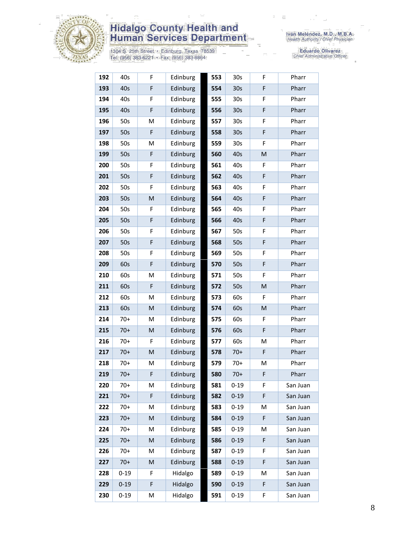

1304 S. 25th Street • Edinburg, Texas 78539<br>Tel: (956) 383-6221 • Fax: (956) 383-8864

Iván Meléndez, M.D., M.B.A.<br>Health Authority / Chief Physician

| 192 | 40s      | F         | Edinburg | 553 | 30 <sub>s</sub> | F           | Pharr    |
|-----|----------|-----------|----------|-----|-----------------|-------------|----------|
| 193 | 40s      | F         | Edinburg | 554 | 30s             | $\mathsf F$ | Pharr    |
| 194 | 40s      | F         | Edinburg | 555 | 30s             | $\mathsf F$ | Pharr    |
| 195 | 40s      | F         | Edinburg | 556 | 30 <sub>s</sub> | F           | Pharr    |
| 196 | 50s      | M         | Edinburg | 557 | 30 <sub>s</sub> | F           | Pharr    |
| 197 | 50s      | F         | Edinburg | 558 | 30 <sub>s</sub> | $\mathsf F$ | Pharr    |
| 198 | 50s      | M         | Edinburg | 559 | 30s             | F           | Pharr    |
| 199 | 50s      | F         | Edinburg | 560 | 40s             | M           | Pharr    |
| 200 | 50s      | F         | Edinburg | 561 | 40s             | F           | Pharr    |
| 201 | 50s      | F         | Edinburg | 562 | 40s             | F           | Pharr    |
| 202 | 50s      | F         | Edinburg | 563 | 40s             | F           | Pharr    |
| 203 | 50s      | M         | Edinburg | 564 | 40s             | $\mathsf F$ | Pharr    |
| 204 | 50s      | F         | Edinburg | 565 | 40s             | F           | Pharr    |
| 205 | 50s      | F         | Edinburg | 566 | 40s             | $\mathsf F$ | Pharr    |
| 206 | 50s      | F         | Edinburg | 567 | 50s             | F           | Pharr    |
| 207 | 50s      | F         | Edinburg | 568 | 50s             | $\mathsf F$ | Pharr    |
| 208 | 50s      | F         | Edinburg | 569 | 50s             | F           | Pharr    |
| 209 | 60s      | F         | Edinburg | 570 | 50s             | $\mathsf F$ | Pharr    |
| 210 | 60s      | M         | Edinburg | 571 | 50s             | F           | Pharr    |
| 211 | 60s      | F         | Edinburg | 572 | 50s             | M           | Pharr    |
| 212 | 60s      | M         | Edinburg | 573 | 60s             | F           | Pharr    |
| 213 | 60s      | ${\sf M}$ | Edinburg | 574 | 60s             | M           | Pharr    |
| 214 | $70+$    | M         | Edinburg | 575 | 60s             | $\mathsf F$ | Pharr    |
| 215 | $70+$    | M         | Edinburg | 576 | 60s             | $\mathsf F$ | Pharr    |
| 216 | $70+$    | F         | Edinburg | 577 | 60s             | М           | Pharr    |
| 217 | $70+$    | M         | Edinburg | 578 | $70+$           | $\mathsf F$ | Pharr    |
| 218 | $70+$    | M         | Edinburg | 579 | $70+$           | Μ           | Pharr    |
| 219 | $70+$    | F         | Edinburg | 580 | $70+$           | F           | Pharr    |
| 220 | $70+$    | M         | Edinburg | 581 | $0 - 19$        | F           | San Juan |
| 221 | $70+$    | F         | Edinburg | 582 | $0 - 19$        | F           | San Juan |
| 222 | $70+$    | Μ         | Edinburg | 583 | $0 - 19$        | М           | San Juan |
| 223 | $70+$    | M         | Edinburg | 584 | $0 - 19$        | F           | San Juan |
| 224 | $70+$    | M         | Edinburg | 585 | $0 - 19$        | М           | San Juan |
| 225 | $70+$    | M         | Edinburg | 586 | $0 - 19$        | F           | San Juan |
| 226 | $70+$    | M         | Edinburg | 587 | $0 - 19$        | F           | San Juan |
| 227 | $70+$    | M         | Edinburg | 588 | $0 - 19$        | F           | San Juan |
| 228 | $0 - 19$ | F         | Hidalgo  | 589 | $0 - 19$        | Μ           | San Juan |
| 229 | $0 - 19$ | F         | Hidalgo  | 590 | $0 - 19$        | F           | San Juan |
| 230 | $0 - 19$ | М         | Hidalgo  | 591 | $0 - 19$        | F           | San Juan |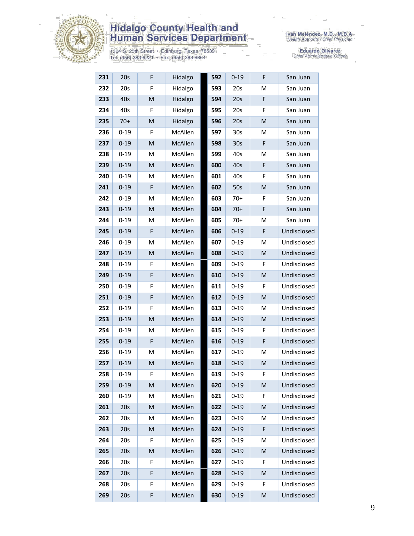

1304 S. 25th Street • Edinburg, Texas 78539<br>Tel: (956) 383-6221 • Fax: (956) 383-8864

Iván Meléndez, M.D., M.B.A.<br>Health Authority / Chief Physician

| 231 | 20s      | F | Hidalgo | 592 | $0 - 19$        | F           | San Juan    |
|-----|----------|---|---------|-----|-----------------|-------------|-------------|
| 232 | 20s      | F | Hidalgo | 593 | 20s             | M           | San Juan    |
| 233 | 40s      | M | Hidalgo | 594 | 20s             | F           | San Juan    |
| 234 | 40s      | F | Hidalgo | 595 | 20s             | F           | San Juan    |
| 235 | $70+$    | M | Hidalgo | 596 | 20s             | M           | San Juan    |
| 236 | $0 - 19$ | F | McAllen | 597 | 30s             | M           | San Juan    |
| 237 | $0 - 19$ | M | McAllen | 598 | 30 <sub>s</sub> | F           | San Juan    |
| 238 | $0 - 19$ | M | McAllen | 599 | 40s             | M           | San Juan    |
| 239 | $0 - 19$ | M | McAllen | 600 | 40s             | F           | San Juan    |
| 240 | $0 - 19$ | М | McAllen | 601 | 40s             | F           | San Juan    |
| 241 | $0 - 19$ | F | McAllen | 602 | 50s             | M           | San Juan    |
| 242 | $0 - 19$ | M | McAllen | 603 | $70+$           | F           | San Juan    |
| 243 | $0 - 19$ | M | McAllen | 604 | $70+$           | F           | San Juan    |
| 244 | $0 - 19$ | M | McAllen | 605 | $70+$           | M           | San Juan    |
| 245 | $0 - 19$ | F | McAllen | 606 | $0 - 19$        | F           | Undisclosed |
| 246 | $0 - 19$ | M | McAllen | 607 | $0 - 19$        | M           | Undisclosed |
| 247 | $0 - 19$ | M | McAllen | 608 | $0 - 19$        | M           | Undisclosed |
| 248 | $0 - 19$ | F | McAllen | 609 | $0 - 19$        | F           | Undisclosed |
| 249 | $0 - 19$ | F | McAllen | 610 | $0 - 19$        | M           | Undisclosed |
| 250 | $0 - 19$ | F | McAllen | 611 | $0 - 19$        | F           | Undisclosed |
| 251 | $0 - 19$ | F | McAllen | 612 | $0 - 19$        | M           | Undisclosed |
| 252 | $0 - 19$ | F | McAllen | 613 | $0 - 19$        | M           | Undisclosed |
| 253 | $0 - 19$ | M | McAllen | 614 | $0 - 19$        | M           | Undisclosed |
| 254 | $0 - 19$ | M | McAllen | 615 | $0 - 19$        | F           | Undisclosed |
| 255 | $0 - 19$ | F | McAllen | 616 | $0 - 19$        | F           | Undisclosed |
| 256 | $0 - 19$ | M | McAllen | 617 | $0 - 19$        | M           | Undisclosed |
| 257 | $0 - 19$ | M | McAllen | 618 | $0 - 19$        | M           | Undisclosed |
| 258 | $0 - 19$ | F | McAllen | 619 | $0 - 19$        | F           | Undisclosed |
| 259 | $0 - 19$ | M | McAllen | 620 | $0 - 19$        | M           | Undisclosed |
| 260 | $0 - 19$ | M | McAllen | 621 | $0 - 19$        | F           | Undisclosed |
| 261 | 20s      | M | McAllen | 622 | $0 - 19$        | M           | Undisclosed |
| 262 | 20s      | M | McAllen | 623 | $0 - 19$        | M           | Undisclosed |
| 263 | 20s      | M | McAllen | 624 | $0 - 19$        | $\mathsf F$ | Undisclosed |
| 264 | 20s      | F | McAllen | 625 | $0 - 19$        | M           | Undisclosed |
| 265 | 20s      | M | McAllen | 626 | $0 - 19$        | M           | Undisclosed |
| 266 | 20s      | F | McAllen | 627 | $0 - 19$        | F           | Undisclosed |
| 267 | 20s      | F | McAllen | 628 | $0 - 19$        | M           | Undisclosed |
| 268 | 20s      | F | McAllen | 629 | $0 - 19$        | F           | Undisclosed |
| 269 | 20s      | F | McAllen | 630 | $0 - 19$        | M           | Undisclosed |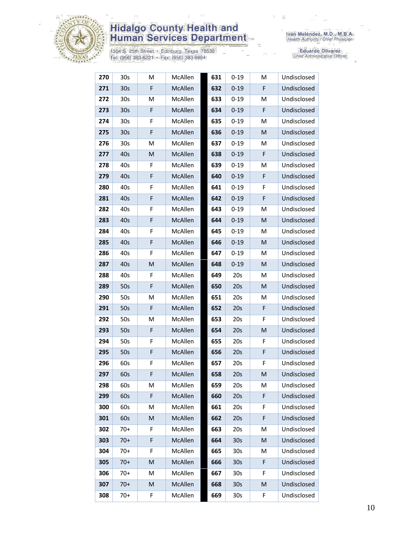

1304 S. 25th Street • Edinburg, Texas 78539<br>Tel: (956) 383-6221 • Fax: (956) 383-8864

Iván Meléndez, M.D., M.B.A.<br>Health Authority / Chief Physician

| 270 | 30s             | M                                                                                                          | McAllen        | 631 | $0 - 19$        | M           | Undisclosed |
|-----|-----------------|------------------------------------------------------------------------------------------------------------|----------------|-----|-----------------|-------------|-------------|
| 271 | 30 <sub>s</sub> | F                                                                                                          | McAllen        | 632 | $0 - 19$        | F           | Undisclosed |
| 272 | 30 <sub>s</sub> | M                                                                                                          | McAllen        | 633 | $0 - 19$        | M           | Undisclosed |
| 273 | 30 <sub>s</sub> | F                                                                                                          | McAllen        | 634 | $0 - 19$        | F           | Undisclosed |
| 274 | 30 <sub>s</sub> | F                                                                                                          | McAllen        | 635 | $0 - 19$        | M           | Undisclosed |
| 275 | 30 <sub>s</sub> | F                                                                                                          | McAllen        | 636 | $0 - 19$        | M           | Undisclosed |
| 276 | 30s             | M                                                                                                          | McAllen        | 637 | $0 - 19$        | M           | Undisclosed |
| 277 | 40s             | M                                                                                                          | McAllen        | 638 | $0 - 19$        | F           | Undisclosed |
| 278 | 40s             | F                                                                                                          | McAllen        | 639 | $0 - 19$        | M           | Undisclosed |
| 279 | 40s             | F                                                                                                          | McAllen        | 640 | $0 - 19$        | F           | Undisclosed |
| 280 | 40s             | F                                                                                                          | McAllen        | 641 | $0 - 19$        | F           | Undisclosed |
| 281 | 40s             | F                                                                                                          | McAllen        | 642 | $0 - 19$        | F           | Undisclosed |
| 282 | 40s             | F                                                                                                          | McAllen        | 643 | $0 - 19$        | M           | Undisclosed |
| 283 | 40s             | F                                                                                                          | McAllen        | 644 | $0 - 19$        | M           | Undisclosed |
| 284 | 40s             | F                                                                                                          | McAllen        | 645 | $0 - 19$        | М           | Undisclosed |
| 285 | 40s             | F                                                                                                          | McAllen        | 646 | $0 - 19$        | M           | Undisclosed |
| 286 | 40s             | F                                                                                                          | McAllen        | 647 | $0 - 19$        | M           | Undisclosed |
| 287 | 40s             | M                                                                                                          | McAllen        | 648 | $0 - 19$        | M           | Undisclosed |
| 288 | 40s             | F                                                                                                          | McAllen        | 649 | 20s             | M           | Undisclosed |
| 289 | 50s             | F                                                                                                          | McAllen        | 650 | 20s             | M           | Undisclosed |
| 290 | 50s             | M                                                                                                          | McAllen        | 651 | 20s             | М           | Undisclosed |
| 291 | 50s             | F                                                                                                          | McAllen        | 652 | 20s             | $\mathsf F$ | Undisclosed |
| 292 | 50s             | M                                                                                                          | McAllen        | 653 | 20s             | F           | Undisclosed |
| 293 | 50s             | F                                                                                                          | McAllen        | 654 | 20s             | M           | Undisclosed |
| 294 | 50s             | F                                                                                                          | McAllen        | 655 | 20s             | F           | Undisclosed |
| 295 | 50s             | F                                                                                                          | McAllen        | 656 | 20s             | F           | Undisclosed |
| 296 | 60s             | F                                                                                                          | McAllen        | 657 | 20s             | F           | Undisclosed |
| 297 | 60s             | F                                                                                                          | <b>McAllen</b> | 658 | 20s             | M           | Undisclosed |
| 298 | 60s             | M                                                                                                          | McAllen        | 659 | 20s             | М           | Undisclosed |
| 299 | 60s             | F                                                                                                          | McAllen        | 660 | 20s             | F           | Undisclosed |
| 300 | 60s             | M                                                                                                          | McAllen        | 661 | 20s             | F           | Undisclosed |
| 301 | 60s             | M                                                                                                          | McAllen        | 662 | 20s             | $\mathsf F$ | Undisclosed |
| 302 | $70+$           | F                                                                                                          | McAllen        | 663 | 20s             | M           | Undisclosed |
| 303 | $70+$           | F                                                                                                          | McAllen        | 664 | 30 <sub>s</sub> | M           | Undisclosed |
| 304 | $70+$           | F                                                                                                          | McAllen        | 665 | 30 <sub>s</sub> | М           | Undisclosed |
| 305 | $70+$           | $\mathsf{M}% _{T}=\mathsf{M}_{T}\!\left( a,b\right) ,\ \mathsf{M}_{T}=\mathsf{M}_{T}\!\left( a,b\right) ,$ | McAllen        | 666 | 30 <sub>s</sub> | F           | Undisclosed |
| 306 | $70+$           | M                                                                                                          | McAllen        | 667 | 30s             | F           | Undisclosed |
| 307 | $70+$           | M                                                                                                          | McAllen        | 668 | 30 <sub>s</sub> | M           | Undisclosed |
| 308 | $70+$           | F                                                                                                          | McAllen        | 669 | 30 <sub>s</sub> | F           | Undisclosed |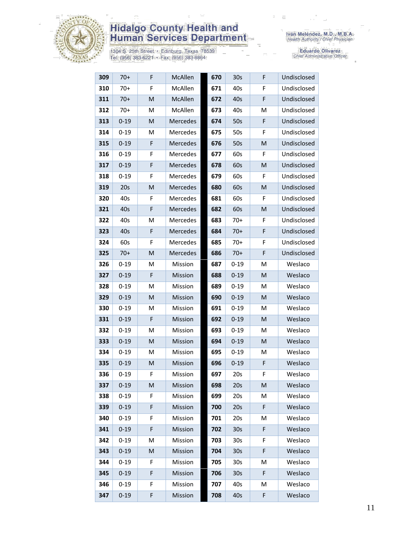

1304 S. 25th Street • Edinburg, Texas 78539<br>Tel: (956) 383-6221 • Fax: (956) 383-8864

| 309 | $70+$    | F | McAllen        | 670 | 30 <sub>s</sub> | F | Undisclosed |
|-----|----------|---|----------------|-----|-----------------|---|-------------|
| 310 | $70+$    | F | McAllen        | 671 | 40s             | F | Undisclosed |
| 311 | $70+$    | M | <b>McAllen</b> | 672 | 40s             | F | Undisclosed |
| 312 | $70+$    | М | McAllen        | 673 | 40s             | M | Undisclosed |
| 313 | $0 - 19$ | M | Mercedes       | 674 | 50s             | F | Undisclosed |
| 314 | $0 - 19$ | M | Mercedes       | 675 | 50s             | F | Undisclosed |
| 315 | $0 - 19$ | F | Mercedes       | 676 | 50s             | M | Undisclosed |
| 316 | $0 - 19$ | F | Mercedes       | 677 | 60s             | F | Undisclosed |
| 317 | $0 - 19$ | F | Mercedes       | 678 | 60s             | M | Undisclosed |
| 318 | $0 - 19$ | F | Mercedes       | 679 | 60s             | F | Undisclosed |
| 319 | 20s      | M | Mercedes       | 680 | 60s             | M | Undisclosed |
| 320 | 40s      | F | Mercedes       | 681 | 60s             | F | Undisclosed |
| 321 | 40s      | F | Mercedes       | 682 | 60s             | M | Undisclosed |
| 322 | 40s      | M | Mercedes       | 683 | $70+$           | F | Undisclosed |
| 323 | 40s      | F | Mercedes       | 684 | $70+$           | F | Undisclosed |
| 324 | 60s      | F | Mercedes       | 685 | $70+$           | F | Undisclosed |
| 325 | $70+$    | M | Mercedes       | 686 | $70+$           | F | Undisclosed |
| 326 | $0 - 19$ | M | Mission        | 687 | $0 - 19$        | M | Weslaco     |
| 327 | $0 - 19$ | F | Mission        | 688 | $0 - 19$        | M | Weslaco     |
| 328 | $0 - 19$ | M | Mission        | 689 | $0 - 19$        | M | Weslaco     |
| 329 | $0 - 19$ | M | Mission        | 690 | $0 - 19$        | M | Weslaco     |
| 330 | $0 - 19$ | M | Mission        | 691 | $0 - 19$        | Μ | Weslaco     |
| 331 | $0 - 19$ | F | Mission        | 692 | $0 - 19$        | M | Weslaco     |
| 332 | $0 - 19$ | М | Mission        | 693 | $0 - 19$        | M | Weslaco     |
| 333 | $0 - 19$ | M | Mission        | 694 | $0 - 19$        | M | Weslaco     |
| 334 | $0 - 19$ | M | Mission        | 695 | $0 - 19$        | M | Weslaco     |
| 335 | $0 - 19$ | M | Mission        | 696 | $0 - 19$        | F | Weslaco     |
| 336 | $0 - 19$ | F | Mission        | 697 | 20s             | F | Weslaco     |
| 337 | $0 - 19$ | M | Mission        | 698 | 20s             | M | Weslaco     |
| 338 | $0 - 19$ | F | Mission        | 699 | 20s             | M | Weslaco     |
| 339 | $0 - 19$ | F | Mission        | 700 | 20s             | F | Weslaco     |
| 340 | $0 - 19$ | F | Mission        | 701 | 20s             | M | Weslaco     |
| 341 | $0 - 19$ | F | Mission        | 702 | 30 <sub>s</sub> | F | Weslaco     |
| 342 | $0 - 19$ | Μ | Mission        | 703 | 30s             | F | Weslaco     |
| 343 | $0 - 19$ | M | Mission        | 704 | 30 <sub>s</sub> | F | Weslaco     |
| 344 | $0 - 19$ | F | Mission        | 705 | 30 <sub>s</sub> | M | Weslaco     |
| 345 | $0 - 19$ | F | Mission        | 706 | 30 <sub>s</sub> | F | Weslaco     |
| 346 | $0 - 19$ | F | Mission        | 707 | 40s             | M | Weslaco     |
| 347 | $0 - 19$ | F | Mission        | 708 | 40s             | F | Weslaco     |